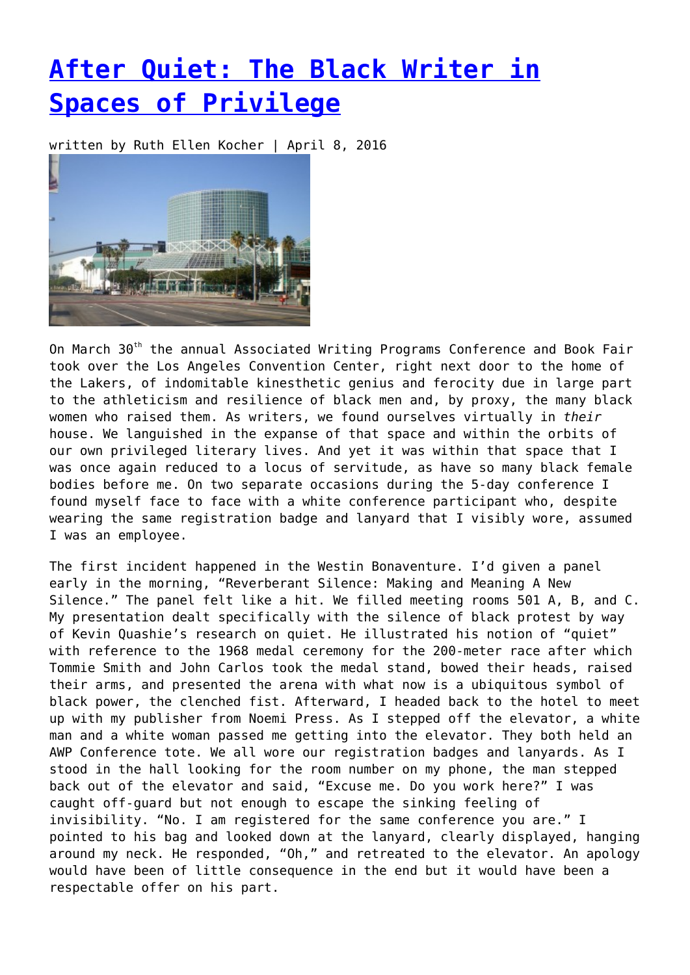## **[After Quiet: The Black Writer in](https://entropymag.org/after-quiet-the-black-writer-in-spaces-of-privilege/) [Spaces of Privilege](https://entropymag.org/after-quiet-the-black-writer-in-spaces-of-privilege/)**

written by Ruth Ellen Kocher | April 8, 2016



On March 30<sup>th</sup> the annual Associated Writing Programs Conference and Book Fair took over the Los Angeles Convention Center, right next door to the home of the Lakers, of indomitable kinesthetic genius and ferocity due in large part to the athleticism and resilience of black men and, by proxy, the many black women who raised them. As writers, we found ourselves virtually in *their* house. We languished in the expanse of that space and within the orbits of our own privileged literary lives. And yet it was within that space that I was once again reduced to a locus of servitude, as have so many black female bodies before me. On two separate occasions during the 5-day conference I found myself face to face with a white conference participant who, despite wearing the same registration badge and lanyard that I visibly wore, assumed I was an employee.

The first incident happened in the Westin Bonaventure. I'd given a panel early in the morning, "Reverberant Silence: Making and Meaning A New Silence." The panel felt like a hit. We filled meeting rooms 501 A, B, and C. My presentation dealt specifically with the silence of black protest by way of Kevin Quashie's research on quiet. He illustrated his notion of "quiet" with reference to the 1968 medal ceremony for the 200-meter race after which Tommie Smith and John Carlos took the medal stand, bowed their heads, raised their arms, and presented the arena with what now is a ubiquitous symbol of black power, the clenched fist. Afterward, I headed back to the hotel to meet up with my publisher from Noemi Press. As I stepped off the elevator, a white man and a white woman passed me getting into the elevator. They both held an AWP Conference tote. We all wore our registration badges and lanyards. As I stood in the hall looking for the room number on my phone, the man stepped back out of the elevator and said, "Excuse me. Do you work here?" I was caught off-guard but not enough to escape the sinking feeling of invisibility. "No. I am registered for the same conference you are." I pointed to his bag and looked down at the lanyard, clearly displayed, hanging around my neck. He responded, "Oh," and retreated to the elevator. An apology would have been of little consequence in the end but it would have been a respectable offer on his part.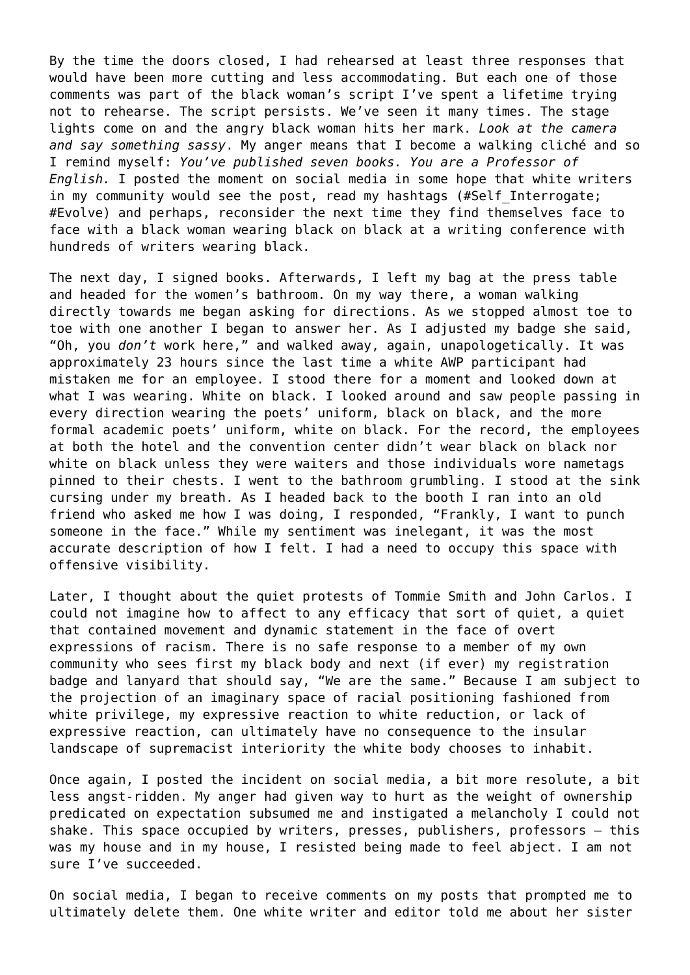By the time the doors closed, I had rehearsed at least three responses that would have been more cutting and less accommodating. But each one of those comments was part of the black woman's script I've spent a lifetime trying not to rehearse. The script persists. We've seen it many times. The stage lights come on and the angry black woman hits her mark. *Look at the camera and say something sassy*. My anger means that I become a walking cliché and so I remind myself: *You've published seven books. You are a Professor of English.* I posted the moment on social media in some hope that white writers in my community would see the post, read my hashtags (#Self Interrogate; #Evolve) and perhaps, reconsider the next time they find themselves face to face with a black woman wearing black on black at a writing conference with hundreds of writers wearing black.

The next day, I signed books. Afterwards, I left my bag at the press table and headed for the women's bathroom. On my way there, a woman walking directly towards me began asking for directions. As we stopped almost toe to toe with one another I began to answer her. As I adjusted my badge she said, "Oh, you *don't* work here," and walked away, again, unapologetically. It was approximately 23 hours since the last time a white AWP participant had mistaken me for an employee. I stood there for a moment and looked down at what I was wearing. White on black. I looked around and saw people passing in every direction wearing the poets' uniform, black on black, and the more formal academic poets' uniform, white on black. For the record, the employees at both the hotel and the convention center didn't wear black on black nor white on black unless they were waiters and those individuals wore nametags pinned to their chests. I went to the bathroom grumbling. I stood at the sink cursing under my breath. As I headed back to the booth I ran into an old friend who asked me how I was doing, I responded, "Frankly, I want to punch someone in the face." While my sentiment was inelegant, it was the most accurate description of how I felt. I had a need to occupy this space with offensive visibility.

Later, I thought about the quiet protests of Tommie Smith and John Carlos. I could not imagine how to affect to any efficacy that sort of quiet, a quiet that contained movement and dynamic statement in the face of overt expressions of racism. There is no safe response to a member of my own community who sees first my black body and next (if ever) my registration badge and lanyard that should say, "We are the same." Because I am subject to the projection of an imaginary space of racial positioning fashioned from white privilege, my expressive reaction to white reduction, or lack of expressive reaction, can ultimately have no consequence to the insular landscape of supremacist interiority the white body chooses to inhabit.

Once again, I posted the incident on social media, a bit more resolute, a bit less angst-ridden. My anger had given way to hurt as the weight of ownership predicated on expectation subsumed me and instigated a melancholy I could not shake. This space occupied by writers, presses, publishers, professors – this was my house and in my house, I resisted being made to feel abject. I am not sure I've succeeded.

On social media, I began to receive comments on my posts that prompted me to ultimately delete them. One white writer and editor told me about her sister